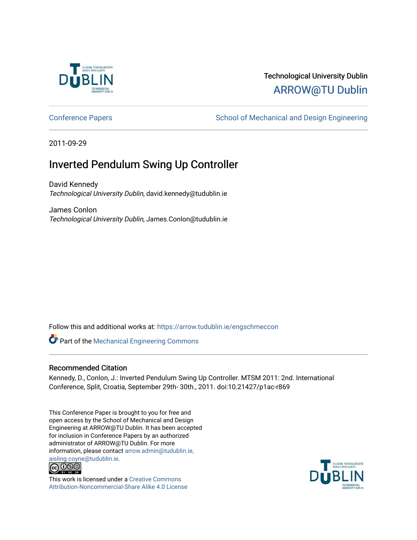

# Technological University Dublin [ARROW@TU Dublin](https://arrow.tudublin.ie/)

[Conference Papers](https://arrow.tudublin.ie/engschmeccon) **School of Mechanical and Design Engineering** School of Mechanical and Design Engineering

2011-09-29

# Inverted Pendulum Swing Up Controller

David Kennedy Technological University Dublin, david.kennedy@tudublin.ie

James Conlon Technological University Dublin, James.Conlon@tudublin.ie

Follow this and additional works at: [https://arrow.tudublin.ie/engschmeccon](https://arrow.tudublin.ie/engschmeccon?utm_source=arrow.tudublin.ie%2Fengschmeccon%2F47&utm_medium=PDF&utm_campaign=PDFCoverPages) 

Part of the [Mechanical Engineering Commons](http://network.bepress.com/hgg/discipline/293?utm_source=arrow.tudublin.ie%2Fengschmeccon%2F47&utm_medium=PDF&utm_campaign=PDFCoverPages) 

### Recommended Citation

Kennedy, D., Conlon, J.: Inverted Pendulum Swing Up Controller. MTSM 2011: 2nd. International Conference, Split, Croatia, September 29th- 30th., 2011. doi:10.21427/p1ac-r869

This Conference Paper is brought to you for free and open access by the School of Mechanical and Design Engineering at ARROW@TU Dublin. It has been accepted for inclusion in Conference Papers by an authorized administrator of ARROW@TU Dublin. For more information, please contact [arrow.admin@tudublin.ie,](mailto:arrow.admin@tudublin.ie,%20aisling.coyne@tudublin.ie)  [aisling.coyne@tudublin.ie.](mailto:arrow.admin@tudublin.ie,%20aisling.coyne@tudublin.ie)<br>© 090



This work is licensed under a [Creative Commons](http://creativecommons.org/licenses/by-nc-sa/4.0/) [Attribution-Noncommercial-Share Alike 4.0 License](http://creativecommons.org/licenses/by-nc-sa/4.0/)

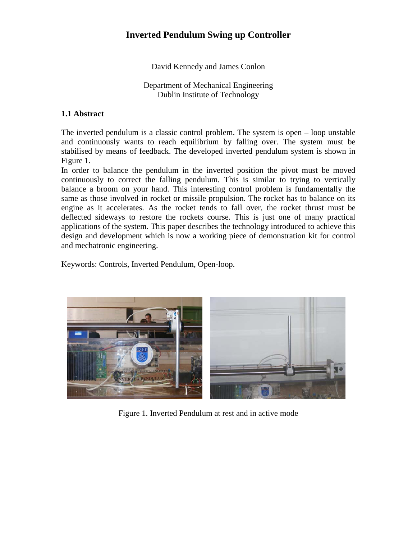# **Inverted Pendulum Swing up Controller**

David Kennedy and James Conlon

Department of Mechanical Engineering Dublin Institute of Technology

# **1.1 Abstract**

The inverted pendulum is a classic control problem. The system is open – loop unstable and continuously wants to reach equilibrium by falling over. The system must be stabilised by means of feedback. The developed inverted pendulum system is shown in Figure 1.

In order to balance the pendulum in the inverted position the pivot must be moved continuously to correct the falling pendulum. This is similar to trying to vertically balance a broom on your hand. This interesting control problem is fundamentally the same as those involved in rocket or missile propulsion. The rocket has to balance on its engine as it accelerates. As the rocket tends to fall over, the rocket thrust must be deflected sideways to restore the rockets course. This is just one of many practical applications of the system. This paper describes the technology introduced to achieve this design and development which is now a working piece of demonstration kit for control and mechatronic engineering.

Keywords: Controls, Inverted Pendulum, Open-loop.



Figure 1. Inverted Pendulum at rest and in active mode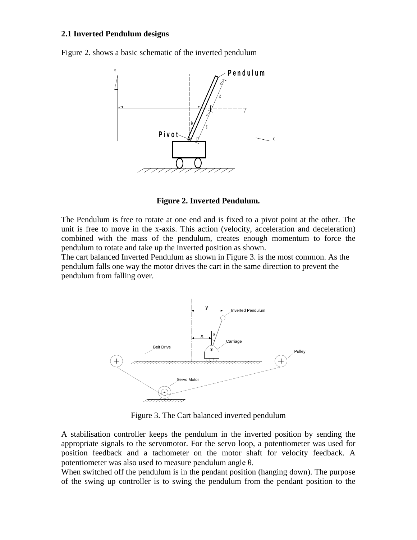#### **2.1 Inverted Pendulum designs**

Figure 2. shows a basic schematic of the inverted pendulum



**Figure 2. Inverted Pendulum.**

The Pendulum is free to rotate at one end and is fixed to a pivot point at the other. The unit is free to move in the x-axis. This action (velocity, acceleration and deceleration) combined with the mass of the pendulum, creates enough momentum to force the pendulum to rotate and take up the inverted position as shown.

The cart balanced Inverted Pendulum as shown in Figure 3. is the most common. As the pendulum falls one way the motor drives the cart in the same direction to prevent the pendulum from falling over.



Figure 3. The Cart balanced inverted pendulum

A stabilisation controller keeps the pendulum in the inverted position by sending the appropriate signals to the servomotor. For the servo loop, a potentiometer was used for position feedback and a tachometer on the motor shaft for velocity feedback. A potentiometer was also used to measure pendulum angle θ.

When switched off the pendulum is in the pendant position (hanging down). The purpose of the swing up controller is to swing the pendulum from the pendant position to the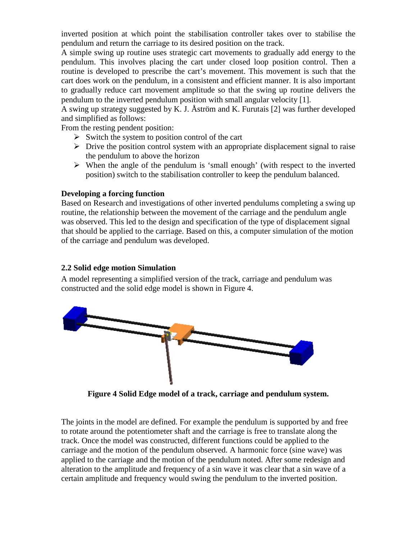inverted position at which point the stabilisation controller takes over to stabilise the pendulum and return the carriage to its desired position on the track.

A simple swing up routine uses strategic cart movements to gradually add energy to the pendulum. This involves placing the cart under closed loop position control. Then a routine is developed to prescribe the cart's movement. This movement is such that the cart does work on the pendulum, in a consistent and efficient manner. It is also important to gradually reduce cart movement amplitude so that the swing up routine delivers the pendulum to the inverted pendulum position with small angular velocity [1].

A swing up strategy suggested by K. J. Åström and K. Furutais [2] was further developed and simplified as follows:

From the resting pendent position:

- $\triangleright$  Switch the system to position control of the cart
- $\triangleright$  Drive the position control system with an appropriate displacement signal to raise the pendulum to above the horizon
- $\triangleright$  When the angle of the pendulum is 'small enough' (with respect to the inverted position) switch to the stabilisation controller to keep the pendulum balanced.

### **Developing a forcing function**

Based on Research and investigations of other inverted pendulums completing a swing up routine, the relationship between the movement of the carriage and the pendulum angle was observed. This led to the design and specification of the type of displacement signal that should be applied to the carriage. Based on this, a computer simulation of the motion of the carriage and pendulum was developed.

## **2.2 Solid edge motion Simulation**

A model representing a simplified version of the track, carriage and pendulum was constructed and the solid edge model is shown in Figure 4.



**Figure 4 Solid Edge model of a track, carriage and pendulum system.**

The joints in the model are defined. For example the pendulum is supported by and free to rotate around the potentiometer shaft and the carriage is free to translate along the track. Once the model was constructed, different functions could be applied to the carriage and the motion of the pendulum observed. A harmonic force (sine wave) was applied to the carriage and the motion of the pendulum noted. After some redesign and alteration to the amplitude and frequency of a sin wave it was clear that a sin wave of a certain amplitude and frequency would swing the pendulum to the inverted position.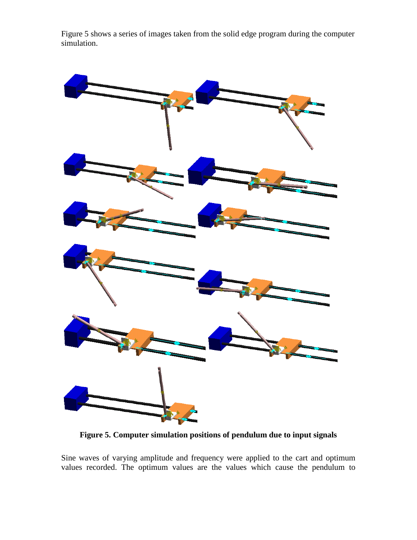Figure 5 shows a series of images taken from the solid edge program during the computer simulation.



**Figure 5. Computer simulation positions of pendulum due to input signals**

Sine waves of varying amplitude and frequency were applied to the cart and optimum values recorded. The optimum values are the values which cause the pendulum to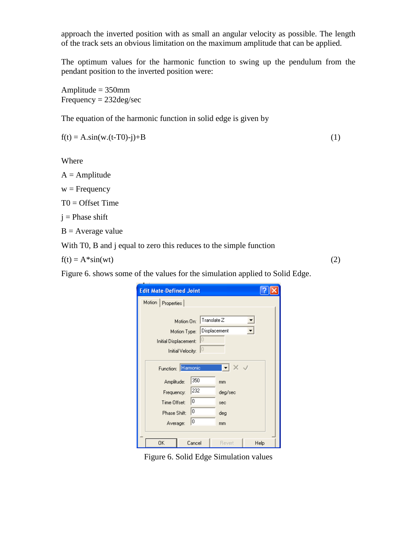approach the inverted position with as small an angular velocity as possible. The length of the track sets an obvious limitation on the maximum amplitude that can be applied.

The optimum values for the harmonic function to swing up the pendulum from the pendant position to the inverted position were:

Amplitude = 350mm Frequency = 232deg/sec

The equation of the harmonic function in solid edge is given by

$$
f(t) = A \sin(w.(t-T0)-j) + B \tag{1}
$$

Where

 $A =$  Amplitude

 $w = F$ requency

 $T0 =$  Offset Time

 $j$  = Phase shift

 $B = Average value$ 

With T0, B and j equal to zero this reduces to the simple function

 $f(t) = A^*sin(wt)$  (2)

Figure 6. shows some of the values for the simulation applied to Solid Edge.

| <b>Edit Mate-Defined Joint</b>  |            |              |      |  |
|---------------------------------|------------|--------------|------|--|
| Motion                          | Properties |              |      |  |
|                                 |            |              |      |  |
| $ $ Translate $Z$<br>Motion On: |            |              |      |  |
| Motion Type:                    |            | Displacement |      |  |
| 0<br>Initial Displacement:      |            |              |      |  |
| 0 <br>Initial Velocity:         |            |              |      |  |
|                                 |            |              |      |  |
| Function: Harmonic              |            |              |      |  |
| Amplitude:                      | 350        | mm           |      |  |
| Frequency:                      | 232        | deg/sec      |      |  |
| Time Offset:                    | 0          | sec          |      |  |
| 10<br>Phase Shift:              |            | deg          |      |  |
| 10<br>Average:                  |            | mm           |      |  |
|                                 |            |              |      |  |
| OΚ                              | Cancel     | Revert       | Help |  |

Figure 6. Solid Edge Simulation values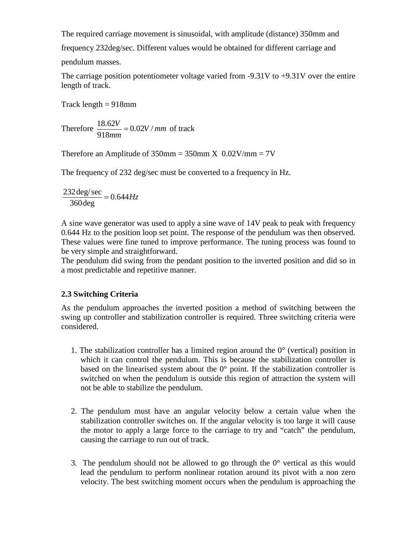The required carriage movement is sinusoidal, with amplitude (distance) 350mm and

frequency 232deg/sec. Different values would be obtained for different carriage and

pendulum masses.

The carriage position potentiometer voltage varied from  $-9.31V$  to  $+9.31V$  over the entire length of track.

Track length  $= 918$ mm

Therefore  $\frac{16.62V}{gA} = 0.02V/mm$ *mm*  $\frac{V}{V}$  = 0.02V / 918  $\frac{18.62V}{0.02} = 0.02V / mm \text{ of track}$ 

Therefore an Amplitude of  $350$ mm =  $350$ mm  $X$  0.02V/mm =  $7V$ 

The frequency of 232 deg/sec must be converted to a frequency in Hz.

$$
\frac{232 \text{ deg/sec}}{360 \text{ deg}} = 0.644 Hz
$$

A sine wave generator was used to apply a sine wave of 14V peak to peak with frequency 0.644 Hz to the position loop set point. The response of the pendulum was then observed. These values were fine tuned to improve performance. The tuning process was found to be very simple and straightforward.

The pendulum did swing from the pendant position to the inverted position and did so in a most predictable and repetitive manner.

# **2.3 Switching Criteria**

As the pendulum approaches the inverted position a method of switching between the swing up controller and stabilization controller is required. Three switching criteria were considered.

- 1. The stabilization controller has a limited region around the  $0^{\circ}$  (vertical) position in which it can control the pendulum. This is because the stabilization controller is based on the linearised system about the  $0^{\circ}$  point. If the stabilization controller is switched on when the pendulum is outside this region of attraction the system will not be able to stabilize the pendulum.
- 2. The pendulum must have an angular velocity below a certain value when the stabilization controller switches on. If the angular velocity is too large it will cause the motor to apply a large force to the carriage to try and "catch" the pendulum, causing the carriage to run out of track.
- 3. The pendulum should not be allowed to go through the  $0^{\circ}$  vertical as this would lead the pendulum to perform nonlinear rotation around its pivot with a non zero velocity. The best switching moment occurs when the pendulum is approaching the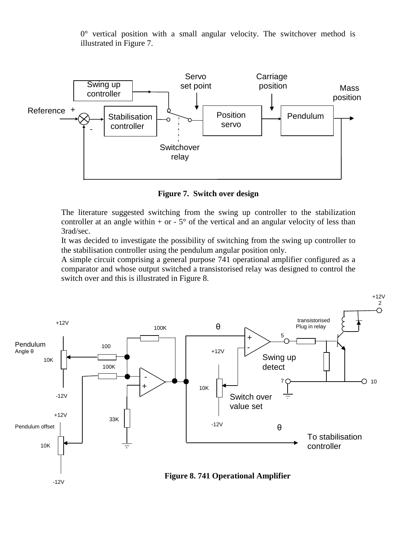$0^{\circ}$  vertical position with a small angular velocity. The switchover method is illustrated in Figure 7.



**Figure 7. Switch over design** 

The literature suggested switching from the swing up controller to the stabilization controller at an angle within  $+$  or  $-5^{\circ}$  of the vertical and an angular velocity of less than 3rad/sec.

It was decided to investigate the possibility of switching from the swing up controller to the stabilisation controller using the pendulum angular position only.

A simple circuit comprising a general purpose 741 operational amplifier configured as a comparator and whose output switched a transistorised relay was designed to control the switch over and this is illustrated in Figure 8.

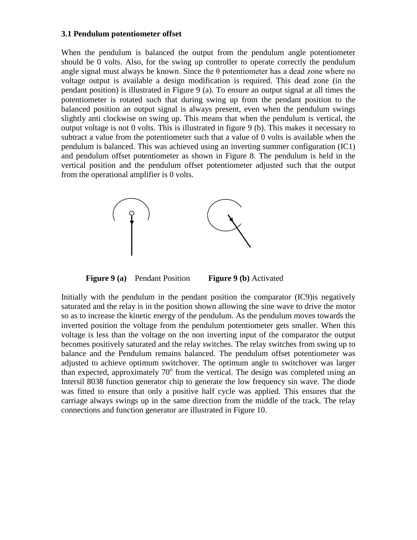#### **3.1 Pendulum potentiometer offset**

When the pendulum is balanced the output from the pendulum angle potentiometer should be 0 volts. Also, for the swing up controller to operate correctly the pendulum angle signal must always be known. Since the  $\theta$  potentiometer has a dead zone where no voltage output is available a design modification is required. This dead zone (in the pendant position) is illustrated in Figure 9 (a). To ensure an output signal at all times the potentiometer is rotated such that during swing up from the pendant position to the balanced position an output signal is always present, even when the pendulum swings slightly anti clockwise on swing up. This means that when the pendulum is vertical, the output voltage is not 0 volts. This is illustrated in figure 9 (b). This makes it necessary to subtract a value from the potentiometer such that a value of 0 volts is available when the pendulum is balanced. This was achieved using an inverting summer configuration (IC1) and pendulum offset potentiometer as shown in Figure 8. The pendulum is held in the vertical position and the pendulum offset potentiometer adjusted such that the output from the operational amplifier is 0 volts.



**Figure 9 (a)** Pendant Position **Figure 9 (b)** Activated

Initially with the pendulum in the pendant position the comparator (IC9)is negatively saturated and the relay is in the position shown allowing the sine wave to drive the motor so as to increase the kinetic energy of the pendulum. As the pendulum moves towards the inverted position the voltage from the pendulum potentiometer gets smaller. When this voltage is less than the voltage on the non inverting input of the comparator the output becomes positively saturated and the relay switches. The relay switches from swing up to balance and the Pendulum remains balanced. The pendulum offset potentiometer was adjusted to achieve optimum switchover. The optimum angle to switchover was larger than expected, approximately  $70^{\circ}$  from the vertical. The design was completed using an Intersil 8038 function generator chip to generate the low frequency sin wave. The diode was fitted to ensure that only a positive half cycle was applied. This ensures that the carriage always swings up in the same direction from the middle of the track. The relay connections and function generator are illustrated in Figure 10.